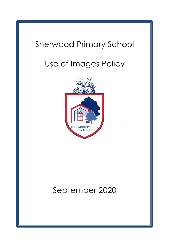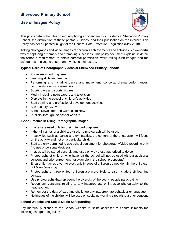# **Sherwood Primary School**

## **Use of Images Policy**



This policy details the rules governing photography and recording videos at Sherwood Primary School, the distribution of these photos & videos, and their publication on the internet. This Policy has been updated in light of the General Data Protection Regulation (May 2018).

Taking photographs and video images of children's achievements and activities is a wonderful way of capturing a memory and promoting successes. This policy document explains, in detail, the school's requirement to obtain parental permission, while taking such images and the safeguards in place to ensure anonymity in their usage.

## **Typical Uses of Photographs/Videos at Sherwood Primary School:**

- For assessment purposes
- Learning skills and feedback
- Performing arts including dance and movement, concerts, drama performances, community events, assemblies.
- Sports days and sports fixtures
- Media including newspapers and television
- Displays in the school of children's activities
- Staff training and professional development activities.
- Site security/CCTV
- School Newsletter and Curriculum News
- Publicity through the school website

#### **Good Practice In Using Photographic Images**

- Images are used only for their intended purposes
- If the full names of a child are used, no photograph will be used.
- In activities such as dance and gymnastics, the content of the photograph will focus on the activity and not on a particular child.
- Staff are only permitted to use school equipment for photography/video recording only (no use of personal devices).
- Images will be stored securely and used only by those authorised to do so
- Photographs of children who have left the school will not be used without additional consent and prior agreement (for example in the school prospectus).
- Ensure file names given to electronic images of children do not identify the child e.g. not Mary Jones.jpg
- Photographs of three or four children are more likely to also include their learning context.
- Use photographs that represent the diversity of the young people participating
- Report any concerns relating to any inappropriate or intrusive photography to the headteacher.
- Remember the duty of care and challenge any inappropriate behaviour or language
- No images of the children will be used on social networking sites without prior consent.

#### **School Website and Social Media Safeguarding**

Any material published to the School website must be assessed to ensure it meets the following safeguarding rules: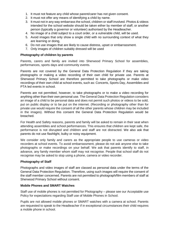- 1. It must not feature any child whose parent/carer has not given consent.
- 2. It must not offer any means of identifying a child by name.
- 3. It must not in any way embarrass the school, children or staff involved. Photos & videos intended for the school website should be taken either by member of staff, or another person (typically a governor or volunteer) authorised by the Headteacher.
- 4. No image of a child subject to a court order, or a vulnerable child, will be used.
- 5. Avoid images that only show a single child with no surrounding context of what they are learning or doing,
- 6. Do not use images that are likely to cause distress, upset or embarrassment.
- 7. Only images of children suitably dressed will be used

#### **Photography of children by parents**

Parents, carers and family are invited into Sherwood Primary School for assemblies, performances, sports days and community events.

Parents are not covered by the General Data Protection Regulation if they are taking photographs or making a video recording of their own child for private use. Parents at Sherwood Primary School are therefore permitted to take photographs or make video recordings of their own child at school events, such as: Concerts, Sports Day, Assemblies and PTA led events in school.

Parents are not permitted, however, to take photographs or to make a video recording for anything other than their own personal use. The General Data Protection Regulation considers an image of a child to be personal data and does not permit such photos or videos to be sold, put on public display or to be put on the internet. (Recording or photography other than for private use would require the consent of all the other parents whose children may be included in the images). Without this consent the General Data Protection Regulation would be breached.

For Health and Safety reasons, parents and family will be asked to remain in their seat when attending assemblies and school performances. This ensures that children are kept safe, the performance is not disrupted and children and staff are not distracted. We also ask that parents do not use flashlight, bulky or noisy equipment.

We consider only family and carers as the appropriate people to use cameras or video recorders at school events. To avoid embarrassment, please do not ask anyone else to take photographs or make recordings on your behalf. We ask that parents identify to staff, in advance, any family member whom staff may not recognise. People that school staff do not recognise may be asked to stop using a phone, camera or video recorder.

#### **Photography of Staff**

Photographs and video images of staff are classed as personal data under the terms of the General Data Protection Regulation. Therefore, using such images will require the consent of the staff member concerned. Parents are not permitted to photograph/film members of staff at Sherwood Primary School without consent.

#### **Mobile Phones and SMART Watches**

Staff use of mobile phones is not permitted for Photography – please see our Acceptable use Policy for expectations regarding Staff use of Mobile Phones in School.

Pupils are not allowed mobile phones or SMART watches with a camera at school. Parents are requested to speak to the Headteacher if in exceptional circumstances their child requires a mobile phone in school.